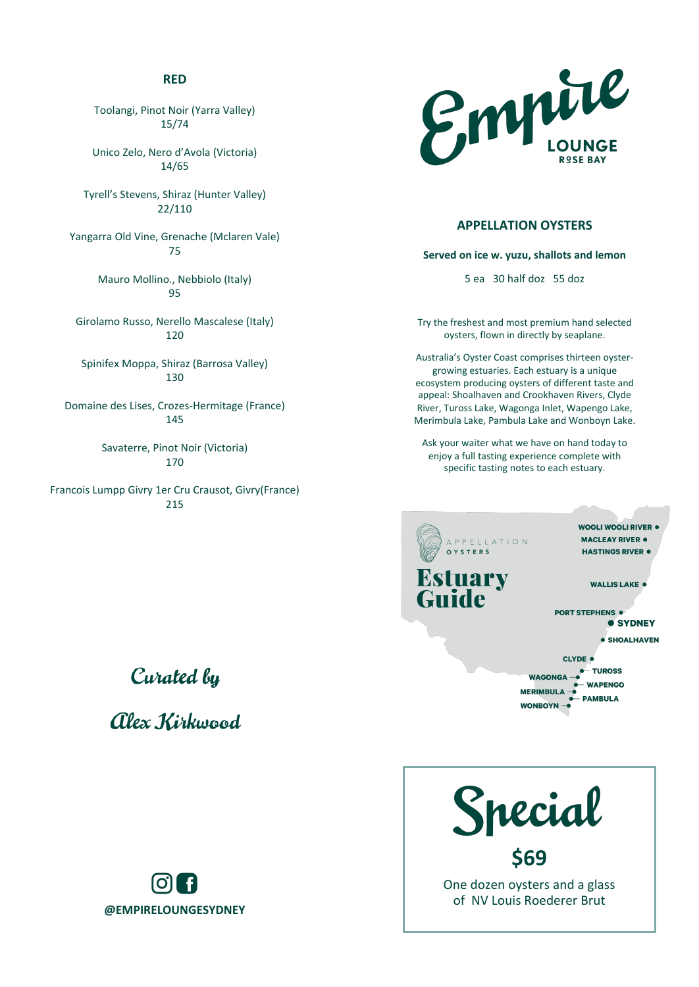#### **RED**

Toolangi, Pinot Noir (Yarra Valley) 15/74 

Unico Zelo, Nero d'Avola (Victoria) 14/65 

Tyrell's Stevens, Shiraz (Hunter Valley) 22/110 

Yangarra Old Vine, Grenache (Mclaren Vale) 75 

> Mauro Mollino., Nebbiolo (Italy) 95

Girolamo Russo, Nerello Mascalese (Italy) 120 

Spinifex Moppa, Shiraz (Barrosa Valley) 130 

Domaine des Lises, Crozes-Hermitage (France) 145 

> Savaterre, Pinot Noir (Victoria) 170

Francois Lumpp Givry 1er Cru Crausot, Givry(France) 215 

# Curated by

alex Kirkwood





#### **APPELLATION OYSTERS**

**Served on ice w. yuzu, shallots and lemon** 

5 ea 30 half doz 55 doz

Try the freshest and most premium hand selected oysters, flown in directly by seaplane.

Australia's Oyster Coast comprises thirteen oystergrowing estuaries. Each estuary is a unique ecosystem producing oysters of different taste and appeal: Shoalhaven and Crookhaven Rivers, Clyde River, Tuross Lake, Wagonga Inlet, Wapengo Lake, Merimbula Lake, Pambula Lake and Wonboyn Lake.

Ask your waiter what we have on hand today to enjoy a full tasting experience complete with specific tasting notes to each estuary.

WOOLI WOOLI RIVER <sup>.</sup> **MACLEAY RIVER . PPELLATION** HASTINGS RIVER . **WALLIS LAKE ·** PORT STEPHENS . **• SYDNEY** · SHOALHAVEN CLYDE . **TUROSS WAGONGA WAPENGO MERIMBULA PAMBULA WONBOYN** 

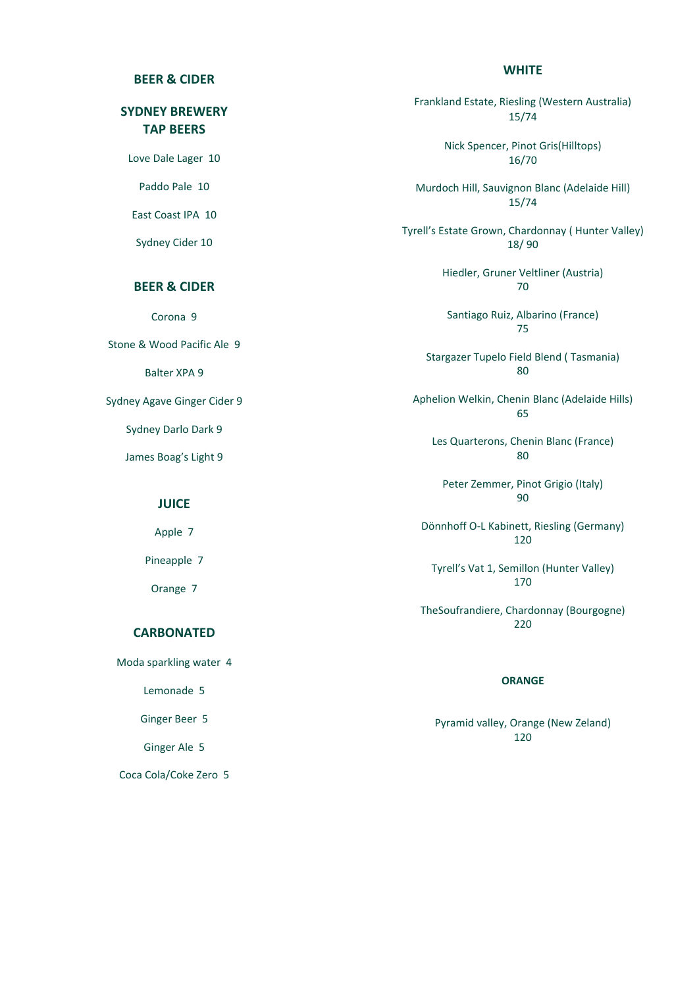#### **WHITE**

#### **BEER & CIDER**

# **SYDNEY BREWERY TAP BEERS**

Love Dale Lager 10

Paddo Pale 10

East Coast IPA 10

Sydney Cider 10

### **BEER & CIDER**

Corona 9

Stone & Wood Pacific Ale 9

Balter XPA 9

Sydney Agave Ginger Cider 9

Sydney Darlo Dark 9

James Boag's Light 9

#### **JUICE**

Apple 7

Pineapple 7

Orange 7

#### **CARBONATED**

Moda sparkling water 4

Lemonade 5

Ginger Beer 5

Ginger Ale 5

Coca Cola/Coke Zero 5

Frankland Estate, Riesling (Western Australia) 15/74 Nick Spencer, Pinot Gris(Hilltops) 16/70 

Murdoch Hill, Sauvignon Blanc (Adelaide Hill) 15/74 

Tyrell's Estate Grown, Chardonnay ( Hunter Valley) 18/ 90 

> Hiedler, Gruner Veltliner (Austria) 70

Santiago Ruiz, Albarino (France) 75 

Stargazer Tupelo Field Blend ( Tasmania) 80 

Aphelion Welkin, Chenin Blanc (Adelaide Hills) 65 

Les Quarterons, Chenin Blanc (France) 80 

Peter Zemmer, Pinot Grigio (Italy) 90 

Dönnhoff O-L Kabinett, Riesling (Germany) 120 

Tyrell's Vat 1, Semillon (Hunter Valley) 170 

TheSoufrandiere, Chardonnay (Bourgogne) 220 

#### **ORANGE**

Pyramid valley, Orange (New Zeland) 120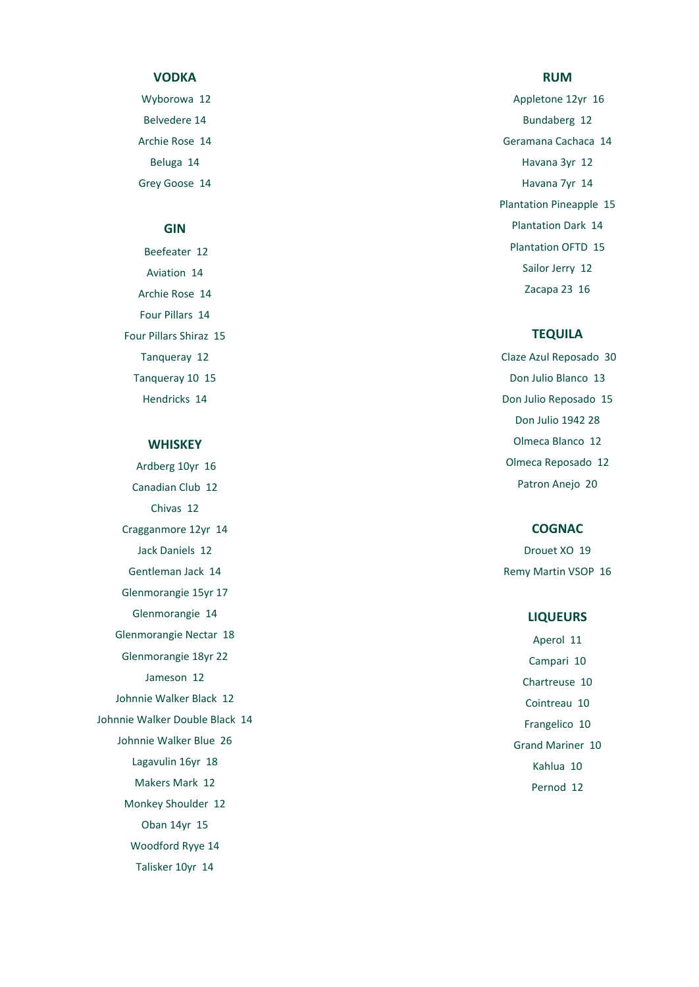#### **VODKA**

Wyborowa 12 Belvedere 14 Archie Rose 14 Beluga 14 Grey Goose 14

#### **GIN**

Beefeater 12 Aviation 14 Archie Rose 14 Four Pillars 14 Four Pillars Shiraz 15 Tanqueray 12 Tanqueray 10 15 Hendricks 14

#### **WHISKEY**

Ardberg 10yr 16 Canadian Club 12 Chivas 12 Cragganmore 12yr 14 Jack Daniels 12 Gentleman Jack 14 Glenmorangie 15yr 17 Glenmorangie 14 Glenmorangie Nectar 18 Glenmorangie 18yr 22 Jameson 12 Johnnie Walker Black 12 Johnnie Walker Double Black 14 Johnnie Walker Blue 26 Lagavulin 16yr 18 Makers Mark 12 Monkey Shoulder 12 Oban 14yr 15 Woodford Ryye 14 Talisker 10yr 14

#### **RUM**

Appletone 12yr 16 Bundaberg 12 Geramana Cachaca 14 Havana 3yr 12 Havana 7yr 14 Plantation Pineapple 15 Plantation Dark 14 Plantation OFTD 15 Sailor Jerry 12 Zacapa 23 16

#### **TEQUILA**

Claze Azul Reposado 30 Don Julio Blanco 13 Don Julio Reposado 15 Don Julio 1942 28 Olmeca Blanco 12 Olmeca Reposado 12 Patron Anejo 20

#### **COGNAC**

Drouet XO 19 Remy Martin VSOP 16

#### **LIQUEURS**

Aperol 11 Campari 10 Chartreuse 10 Cointreau 10 Frangelico 10 Grand Mariner 10 Kahlua 10 Pernod 12